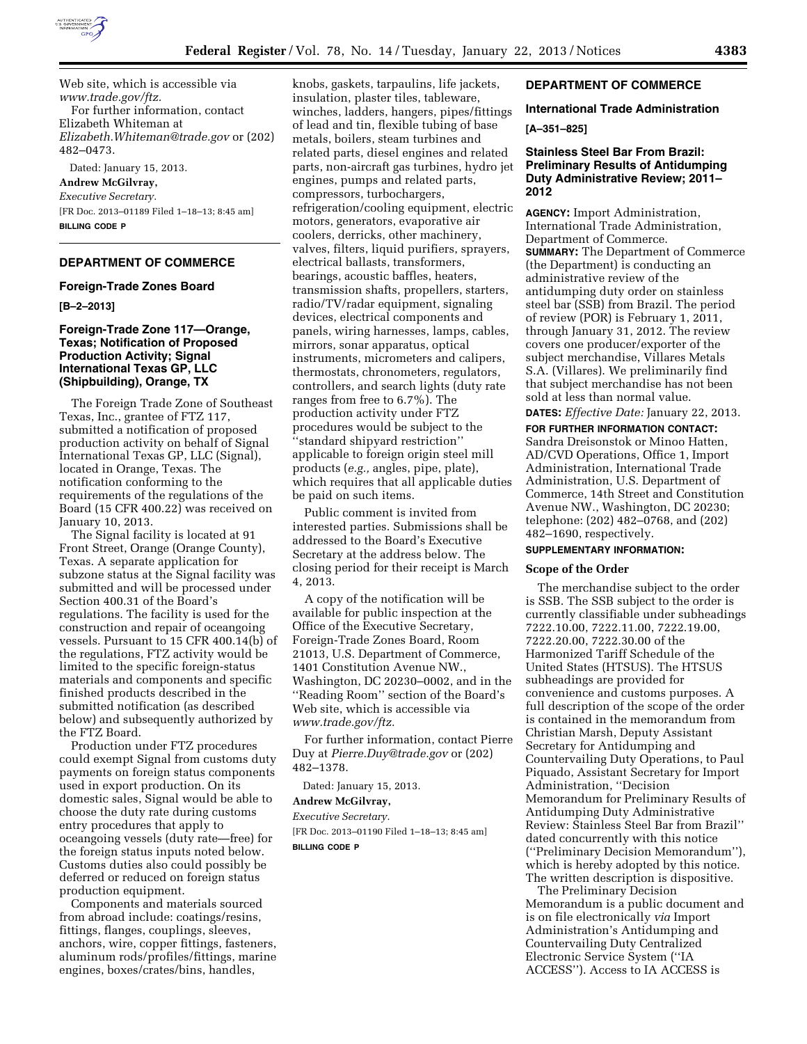

Web site, which is accessible via *[www.trade.gov/ftz.](http://www.trade.gov/ftz)*  For further information, contact Elizabeth Whiteman at *[Elizabeth.Whiteman@trade.gov](mailto:Elizabeth.Whiteman@trade.gov)* or (202) 482–0473.

Dated: January 15, 2013.

**Andrew McGilvray,**  *Executive Secretary.*  [FR Doc. 2013–01189 Filed 1–18–13; 8:45 am] **BILLING CODE P** 

# **DEPARTMENT OF COMMERCE**

#### **Foreign-Trade Zones Board**

**[B–2–2013]** 

# **Foreign-Trade Zone 117—Orange, Texas; Notification of Proposed Production Activity; Signal International Texas GP, LLC (Shipbuilding), Orange, TX**

The Foreign Trade Zone of Southeast Texas, Inc., grantee of FTZ 117, submitted a notification of proposed production activity on behalf of Signal International Texas GP, LLC (Signal), located in Orange, Texas. The notification conforming to the requirements of the regulations of the Board (15 CFR 400.22) was received on January 10, 2013.

The Signal facility is located at 91 Front Street, Orange (Orange County), Texas. A separate application for subzone status at the Signal facility was submitted and will be processed under Section 400.31 of the Board's regulations. The facility is used for the construction and repair of oceangoing vessels. Pursuant to 15 CFR 400.14(b) of the regulations, FTZ activity would be limited to the specific foreign-status materials and components and specific finished products described in the submitted notification (as described below) and subsequently authorized by the FTZ Board.

Production under FTZ procedures could exempt Signal from customs duty payments on foreign status components used in export production. On its domestic sales, Signal would be able to choose the duty rate during customs entry procedures that apply to oceangoing vessels (duty rate—free) for the foreign status inputs noted below. Customs duties also could possibly be deferred or reduced on foreign status production equipment.

Components and materials sourced from abroad include: coatings/resins, fittings, flanges, couplings, sleeves, anchors, wire, copper fittings, fasteners, aluminum rods/profiles/fittings, marine engines, boxes/crates/bins, handles,

knobs, gaskets, tarpaulins, life jackets, insulation, plaster tiles, tableware, winches, ladders, hangers, pipes/fittings of lead and tin, flexible tubing of base metals, boilers, steam turbines and related parts, diesel engines and related parts, non-aircraft gas turbines, hydro jet engines, pumps and related parts, compressors, turbochargers, refrigeration/cooling equipment, electric motors, generators, evaporative air coolers, derricks, other machinery, valves, filters, liquid purifiers, sprayers, electrical ballasts, transformers, bearings, acoustic baffles, heaters, transmission shafts, propellers, starters, radio/TV/radar equipment, signaling devices, electrical components and panels, wiring harnesses, lamps, cables, mirrors, sonar apparatus, optical instruments, micrometers and calipers, thermostats, chronometers, regulators, controllers, and search lights (duty rate ranges from free to 6.7%). The production activity under FTZ procedures would be subject to the ''standard shipyard restriction'' applicable to foreign origin steel mill products (*e.g.,* angles, pipe, plate), which requires that all applicable duties be paid on such items.

Public comment is invited from interested parties. Submissions shall be addressed to the Board's Executive Secretary at the address below. The closing period for their receipt is March 4, 2013.

A copy of the notification will be available for public inspection at the Office of the Executive Secretary, Foreign-Trade Zones Board, Room 21013, U.S. Department of Commerce, 1401 Constitution Avenue NW., Washington, DC 20230–0002, and in the ''Reading Room'' section of the Board's Web site, which is accessible via *[www.trade.gov/ftz.](http://www.trade.gov/ftz)* 

For further information, contact Pierre Duy at *[Pierre.Duy@trade.gov](mailto:Pierre.Duy@trade.gov)* or (202) 482–1378.

Dated: January 15, 2013.

# **Andrew McGilvray,**

*Executive Secretary.* 

[FR Doc. 2013–01190 Filed 1–18–13; 8:45 am] **BILLING CODE P** 

# **DEPARTMENT OF COMMERCE**

# **International Trade Administration**

#### **[A–351–825]**

# **Stainless Steel Bar From Brazil: Preliminary Results of Antidumping Duty Administrative Review; 2011– 2012**

**AGENCY:** Import Administration, International Trade Administration, Department of Commerce. **SUMMARY:** The Department of Commerce (the Department) is conducting an administrative review of the antidumping duty order on stainless steel bar (SSB) from Brazil. The period of review (POR) is February 1, 2011, through January 31, 2012. The review covers one producer/exporter of the subject merchandise, Villares Metals S.A. (Villares). We preliminarily find that subject merchandise has not been sold at less than normal value.

**DATES:** *Effective Date:* January 22, 2013.

**FOR FURTHER INFORMATION CONTACT:**  Sandra Dreisonstok or Minoo Hatten, AD/CVD Operations, Office 1, Import Administration, International Trade Administration, U.S. Department of Commerce, 14th Street and Constitution Avenue NW., Washington, DC 20230; telephone: (202) 482–0768, and (202) 482–1690, respectively.

### **SUPPLEMENTARY INFORMATION:**

# **Scope of the Order**

The merchandise subject to the order is SSB. The SSB subject to the order is currently classifiable under subheadings 7222.10.00, 7222.11.00, 7222.19.00, 7222.20.00, 7222.30.00 of the Harmonized Tariff Schedule of the United States (HTSUS). The HTSUS subheadings are provided for convenience and customs purposes. A full description of the scope of the order is contained in the memorandum from Christian Marsh, Deputy Assistant Secretary for Antidumping and Countervailing Duty Operations, to Paul Piquado, Assistant Secretary for Import Administration, ''Decision Memorandum for Preliminary Results of Antidumping Duty Administrative Review: Stainless Steel Bar from Brazil'' dated concurrently with this notice (''Preliminary Decision Memorandum''), which is hereby adopted by this notice. The written description is dispositive.

The Preliminary Decision Memorandum is a public document and is on file electronically *via* Import Administration's Antidumping and Countervailing Duty Centralized Electronic Service System (''IA ACCESS''). Access to IA ACCESS is